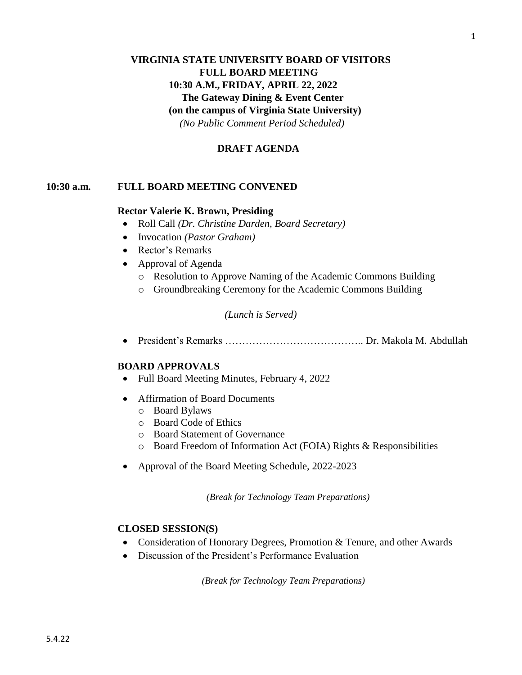# **VIRGINIA STATE UNIVERSITY BOARD OF VISITORS FULL BOARD MEETING 10:30 A.M., FRIDAY, APRIL 22, 2022** **The Gateway Dining & Event Center (on the campus of Virginia State University)** *(No Public Comment Period Scheduled)*

#### **DRAFT AGENDA**

#### **10:30 a.m***.* **FULL BOARD MEETING CONVENED**

#### **Rector Valerie K. Brown, Presiding**

- Roll Call *(Dr. Christine Darden, Board Secretary)*
- Invocation *(Pastor Graham)*
- Rector's Remarks
- Approval of Agenda
	- o Resolution to Approve Naming of the Academic Commons Building
	- o Groundbreaking Ceremony for the Academic Commons Building

#### *(Lunch is Served)*

• President's Remarks ………………………………….. Dr. Makola M. Abdullah

#### **BOARD APPROVALS**

- Full Board Meeting Minutes, February 4, 2022
- Affirmation of Board Documents
	- o Board Bylaws
	- o Board Code of Ethics
	- o Board Statement of Governance
	- o Board Freedom of Information Act (FOIA) Rights & Responsibilities
- Approval of the Board Meeting Schedule, 2022-2023

 *(Break for Technology Team Preparations)*

#### **CLOSED SESSION(S)**

- Consideration of Honorary Degrees, Promotion & Tenure, and other Awards
- Discussion of the President's Performance Evaluation

*(Break for Technology Team Preparations)*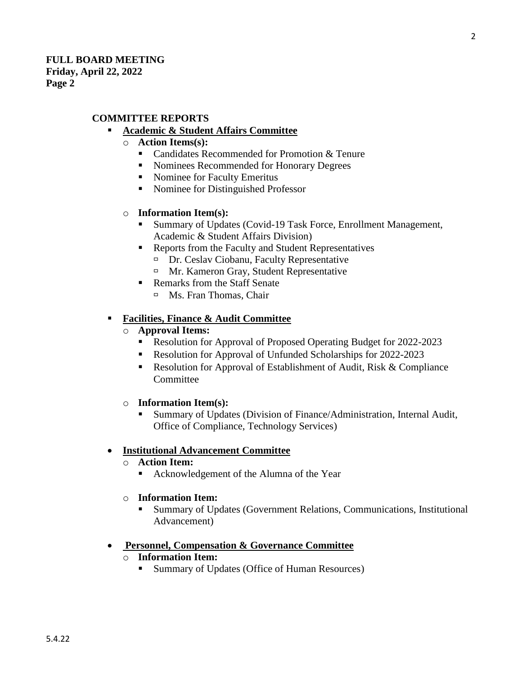# **COMMITTEE REPORTS**

# **Academic & Student Affairs Committee**

- o **Action Items(s):**
	- Candidates Recommended for Promotion & Tenure
	- Nominees Recommended for Honorary Degrees
	- Nominee for Faculty Emeritus
	- Nominee for Distinguished Professor

## o **Information Item(s):**

- Summary of Updates (Covid-19 Task Force, Enrollment Management, Academic & Student Affairs Division)
- Reports from the Faculty and Student Representatives
	- $\Box$  Dr. Ceslav Ciobanu, Faculty Representative
	- □ Mr. Kameron Gray, Student Representative
- Remarks from the Staff Senate
	- □ Ms. Fran Thomas, Chair

# ▪ **Facilities, Finance & Audit Committee**

- o **Approval Items:**
	- Resolution for Approval of Proposed Operating Budget for 2022-2023
	- Resolution for Approval of Unfunded Scholarships for 2022-2023
	- Resolution for Approval of Establishment of Audit, Risk & Compliance **Committee**
- o **Information Item(s):**
	- Summary of Updates (Division of Finance/Administration, Internal Audit, Office of Compliance, Technology Services)

## • **Institutional Advancement Committee**

- o **Action Item:**
	- Acknowledgement of the Alumna of the Year
- o **Information Item:**
	- Summary of Updates (Government Relations, Communications, Institutional Advancement)

## • **Personnel, Compensation & Governance Committee**

- o **Information Item:** 
	- Summary of Updates (Office of Human Resources)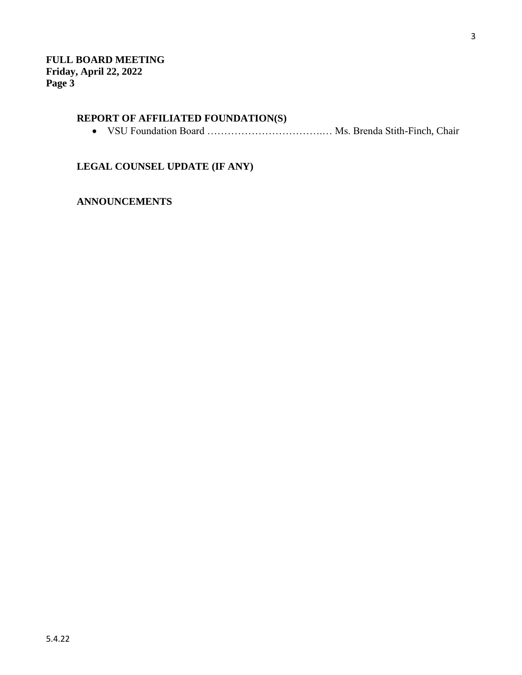# **REPORT OF AFFILIATED FOUNDATION(S)**

• VSU Foundation Board …………………………….… Ms. Brenda Stith-Finch, Chair

**LEGAL COUNSEL UPDATE (IF ANY)**

**ANNOUNCEMENTS**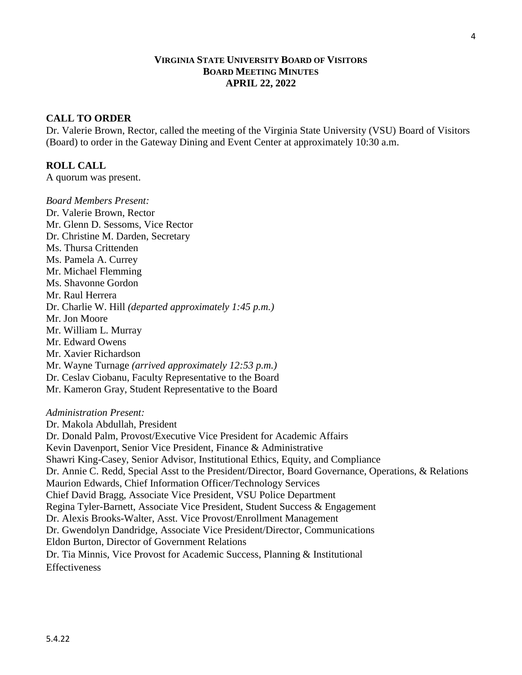## **VIRGINIA STATE UNIVERSITY BOARD OF VISITORS BOARD MEETING MINUTES APRIL 22, 2022**

## **CALL TO ORDER**

Dr. Valerie Brown, Rector, called the meeting of the Virginia State University (VSU) Board of Visitors (Board) to order in the Gateway Dining and Event Center at approximately 10:30 a.m.

# **ROLL CALL**

A quorum was present.

*Board Members Present:* Dr. Valerie Brown, Rector Mr. Glenn D. Sessoms, Vice Rector Dr. Christine M. Darden, Secretary Ms. Thursa Crittenden Ms. Pamela A. Currey Mr. Michael Flemming Ms. Shavonne Gordon Mr. Raul Herrera Dr. Charlie W. Hill *(departed approximately 1:45 p.m.)* Mr. Jon Moore Mr. William L. Murray Mr. Edward Owens Mr. Xavier Richardson Mr. Wayne Turnage *(arrived approximately 12:53 p.m.)* Dr. Ceslav Ciobanu, Faculty Representative to the Board Mr. Kameron Gray, Student Representative to the Board *Administration Present:* Dr. Makola Abdullah, President Dr. Donald Palm, Provost/Executive Vice President for Academic Affairs Kevin Davenport, Senior Vice President, Finance & Administrative Shawri King-Casey, Senior Advisor, Institutional Ethics, Equity, and Compliance Dr. Annie C. Redd, Special Asst to the President/Director, Board Governance, Operations, & Relations Maurion Edwards, Chief Information Officer/Technology Services Chief David Bragg, Associate Vice President, VSU Police Department Regina Tyler-Barnett, Associate Vice President, Student Success & Engagement Dr. Alexis Brooks-Walter, Asst. Vice Provost/Enrollment Management Dr. Gwendolyn Dandridge, Associate Vice President/Director, Communications Eldon Burton, Director of Government Relations Dr. Tia Minnis, Vice Provost for Academic Success, Planning & Institutional **Effectiveness**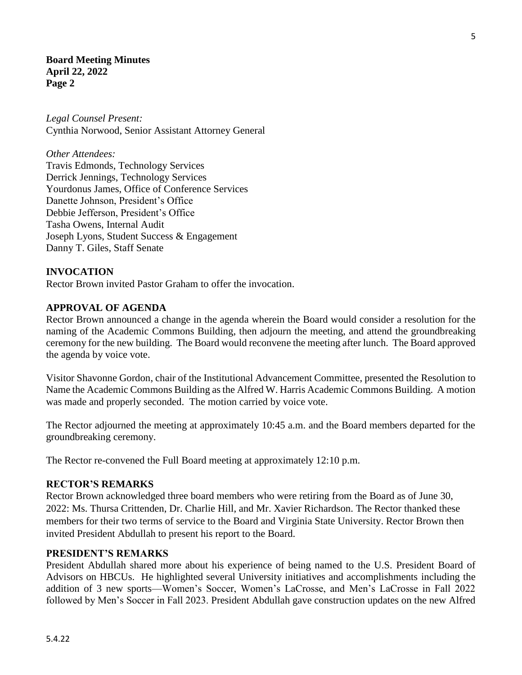*Legal Counsel Present:* Cynthia Norwood, Senior Assistant Attorney General

*Other Attendees:* Travis Edmonds, Technology Services Derrick Jennings, Technology Services Yourdonus James, Office of Conference Services Danette Johnson, President's Office Debbie Jefferson, President's Office Tasha Owens, Internal Audit Joseph Lyons, Student Success & Engagement Danny T. Giles, Staff Senate

## **INVOCATION**

Rector Brown invited Pastor Graham to offer the invocation.

#### **APPROVAL OF AGENDA**

Rector Brown announced a change in the agenda wherein the Board would consider a resolution for the naming of the Academic Commons Building, then adjourn the meeting, and attend the groundbreaking ceremony for the new building. The Board would reconvene the meeting after lunch. The Board approved the agenda by voice vote.

Visitor Shavonne Gordon, chair of the Institutional Advancement Committee, presented the Resolution to Name the Academic Commons Building as the Alfred W. Harris Academic Commons Building. A motion was made and properly seconded. The motion carried by voice vote.

The Rector adjourned the meeting at approximately 10:45 a.m. and the Board members departed for the groundbreaking ceremony.

The Rector re-convened the Full Board meeting at approximately 12:10 p.m.

#### **RECTOR'S REMARKS**

Rector Brown acknowledged three board members who were retiring from the Board as of June 30, 2022: Ms. Thursa Crittenden, Dr. Charlie Hill, and Mr. Xavier Richardson. The Rector thanked these members for their two terms of service to the Board and Virginia State University. Rector Brown then invited President Abdullah to present his report to the Board.

#### **PRESIDENT'S REMARKS**

President Abdullah shared more about his experience of being named to the U.S. President Board of Advisors on HBCUs. He highlighted several University initiatives and accomplishments including the addition of 3 new sports—Women's Soccer, Women's LaCrosse, and Men's LaCrosse in Fall 2022 followed by Men's Soccer in Fall 2023. President Abdullah gave construction updates on the new Alfred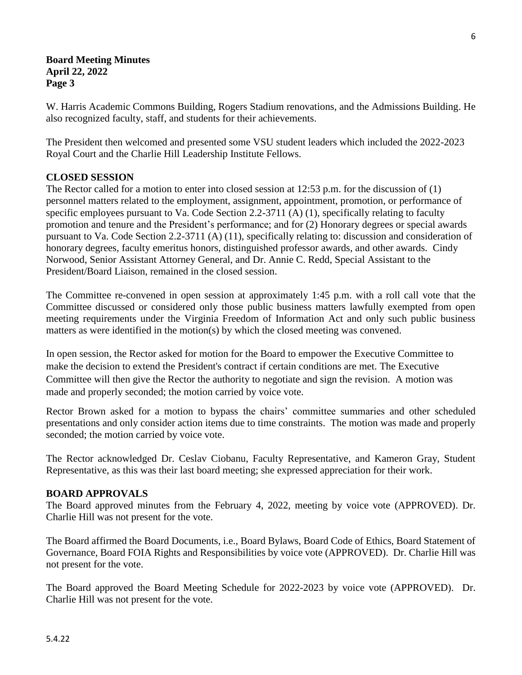W. Harris Academic Commons Building, Rogers Stadium renovations, and the Admissions Building. He also recognized faculty, staff, and students for their achievements.

The President then welcomed and presented some VSU student leaders which included the 2022-2023 Royal Court and the Charlie Hill Leadership Institute Fellows.

# **CLOSED SESSION**

The Rector called for a motion to enter into closed session at 12:53 p.m. for the discussion of (1) personnel matters related to the employment, assignment, appointment, promotion, or performance of specific employees pursuant to Va. Code Section 2.2-3711 (A) (1), specifically relating to faculty promotion and tenure and the President's performance; and for (2) Honorary degrees or special awards pursuant to Va. Code Section 2.2-3711 (A) (11), specifically relating to: discussion and consideration of honorary degrees, faculty emeritus honors, distinguished professor awards, and other awards. Cindy Norwood, Senior Assistant Attorney General, and Dr. Annie C. Redd, Special Assistant to the President/Board Liaison, remained in the closed session.

The Committee re-convened in open session at approximately 1:45 p.m. with a roll call vote that the Committee discussed or considered only those public business matters lawfully exempted from open meeting requirements under the Virginia Freedom of Information Act and only such public business matters as were identified in the motion(s) by which the closed meeting was convened.

In open session, the Rector asked for motion for the Board to empower the Executive Committee to make the decision to extend the President's contract if certain conditions are met. The Executive Committee will then give the Rector the authority to negotiate and sign the revision. A motion was made and properly seconded; the motion carried by voice vote.

Rector Brown asked for a motion to bypass the chairs' committee summaries and other scheduled presentations and only consider action items due to time constraints. The motion was made and properly seconded; the motion carried by voice vote.

The Rector acknowledged Dr. Ceslav Ciobanu, Faculty Representative, and Kameron Gray, Student Representative, as this was their last board meeting; she expressed appreciation for their work.

# **BOARD APPROVALS**

The Board approved minutes from the February 4, 2022, meeting by voice vote (APPROVED). Dr. Charlie Hill was not present for the vote.

The Board affirmed the Board Documents, i.e., Board Bylaws, Board Code of Ethics, Board Statement of Governance, Board FOIA Rights and Responsibilities by voice vote (APPROVED). Dr. Charlie Hill was not present for the vote.

The Board approved the Board Meeting Schedule for 2022-2023 by voice vote (APPROVED). Dr. Charlie Hill was not present for the vote.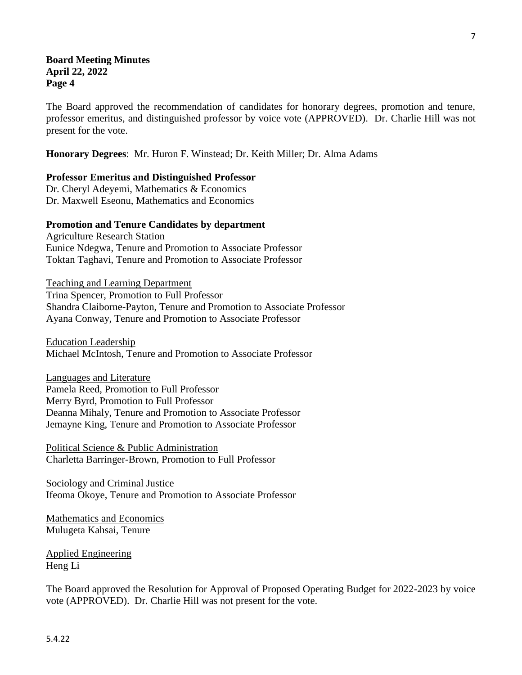The Board approved the recommendation of candidates for honorary degrees, promotion and tenure, professor emeritus, and distinguished professor by voice vote (APPROVED). Dr. Charlie Hill was not present for the vote.

**Honorary Degrees**: Mr. Huron F. Winstead; Dr. Keith Miller; Dr. Alma Adams

#### **Professor Emeritus and Distinguished Professor**

Dr. Cheryl Adeyemi, Mathematics & Economics Dr. Maxwell Eseonu, Mathematics and Economics

#### **Promotion and Tenure Candidates by department**

Agriculture Research Station Eunice Ndegwa, Tenure and Promotion to Associate Professor Toktan Taghavi, Tenure and Promotion to Associate Professor

Teaching and Learning Department Trina Spencer, Promotion to Full Professor Shandra Claiborne-Payton, Tenure and Promotion to Associate Professor Ayana Conway, Tenure and Promotion to Associate Professor

Education Leadership Michael McIntosh, Tenure and Promotion to Associate Professor

Languages and Literature Pamela Reed, Promotion to Full Professor Merry Byrd, Promotion to Full Professor Deanna Mihaly, Tenure and Promotion to Associate Professor Jemayne King, Tenure and Promotion to Associate Professor

Political Science & Public Administration Charletta Barringer-Brown, Promotion to Full Professor

Sociology and Criminal Justice Ifeoma Okoye, Tenure and Promotion to Associate Professor

Mathematics and Economics Mulugeta Kahsai, Tenure

Applied Engineering Heng Li

The Board approved the Resolution for Approval of Proposed Operating Budget for 2022-2023 by voice vote (APPROVED). Dr. Charlie Hill was not present for the vote.